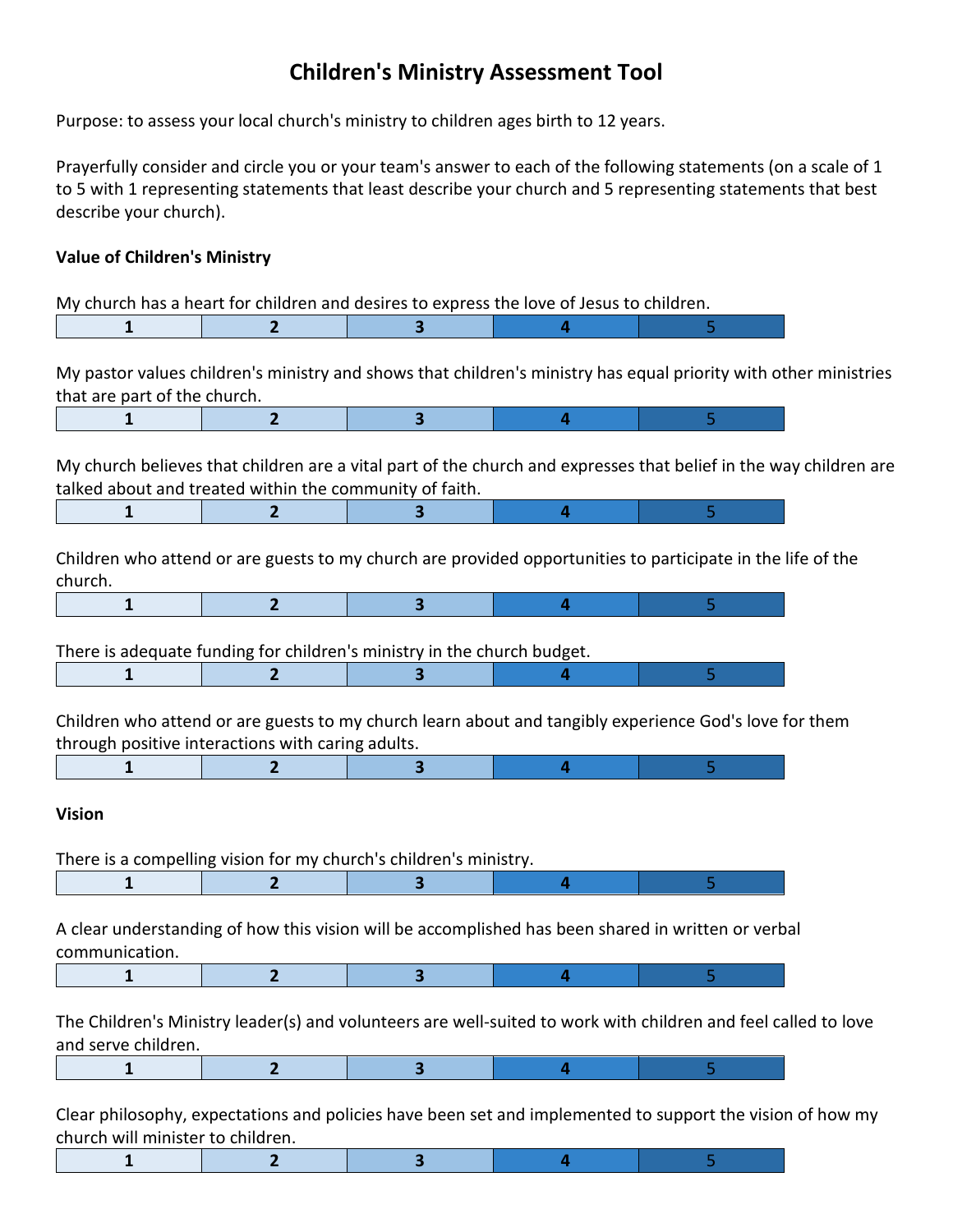## **Children's Ministry Assessment Tool**

Purpose: to assess your local church's ministry to children ages birth to 12 years.

Prayerfully consider and circle you or your team's answer to each of the following statements (on a scale of 1 to 5 with 1 representing statements that least describe your church and 5 representing statements that best describe your church).

## **Value of Children's Ministry**

|                                   | My church has a heart for children and desires to express the love of Jesus to children.                                                                                                       |   |   |   |
|-----------------------------------|------------------------------------------------------------------------------------------------------------------------------------------------------------------------------------------------|---|---|---|
| 1                                 | $\overline{2}$                                                                                                                                                                                 | 3 | 4 | 5 |
| that are part of the church.      | My pastor values children's ministry and shows that children's ministry has equal priority with other ministries                                                                               |   |   |   |
| 1                                 | $\overline{2}$                                                                                                                                                                                 | 3 | 4 | 5 |
| 1                                 | My church believes that children are a vital part of the church and expresses that belief in the way children are<br>talked about and treated within the community of faith.<br>$\overline{2}$ |   | 4 | 5 |
| church.                           | Children who attend or are guests to my church are provided opportunities to participate in the life of the                                                                                    |   |   |   |
| 1                                 | 2                                                                                                                                                                                              | 3 | 4 | 5 |
|                                   | There is adequate funding for children's ministry in the church budget.                                                                                                                        |   |   |   |
| 1                                 | 2                                                                                                                                                                                              | 3 | 4 | 5 |
| 1                                 | Children who attend or are guests to my church learn about and tangibly experience God's love for them<br>through positive interactions with caring adults.<br>2                               | 3 | 4 | 5 |
| <b>Vision</b>                     |                                                                                                                                                                                                |   |   |   |
|                                   | There is a compelling vision for my church's children's ministry.                                                                                                                              |   |   |   |
| 1                                 | 2                                                                                                                                                                                              | з | 4 | 5 |
| communication.                    | A clear understanding of how this vision will be accomplished has been shared in written or verbal                                                                                             |   |   |   |
|                                   |                                                                                                                                                                                                | 3 |   |   |
| and serve children.               | The Children's Ministry leader(s) and volunteers are well-suited to work with children and feel called to love                                                                                 |   |   |   |
| $\mathbf{1}$                      | $\overline{2}$                                                                                                                                                                                 | 3 | 4 | 5 |
| church will minister to children. | Clear philosophy, expectations and policies have been set and implemented to support the vision of how my                                                                                      |   |   |   |
| $\mathbf{1}$                      | $\mathbf{2}$                                                                                                                                                                                   | 3 | 4 | 5 |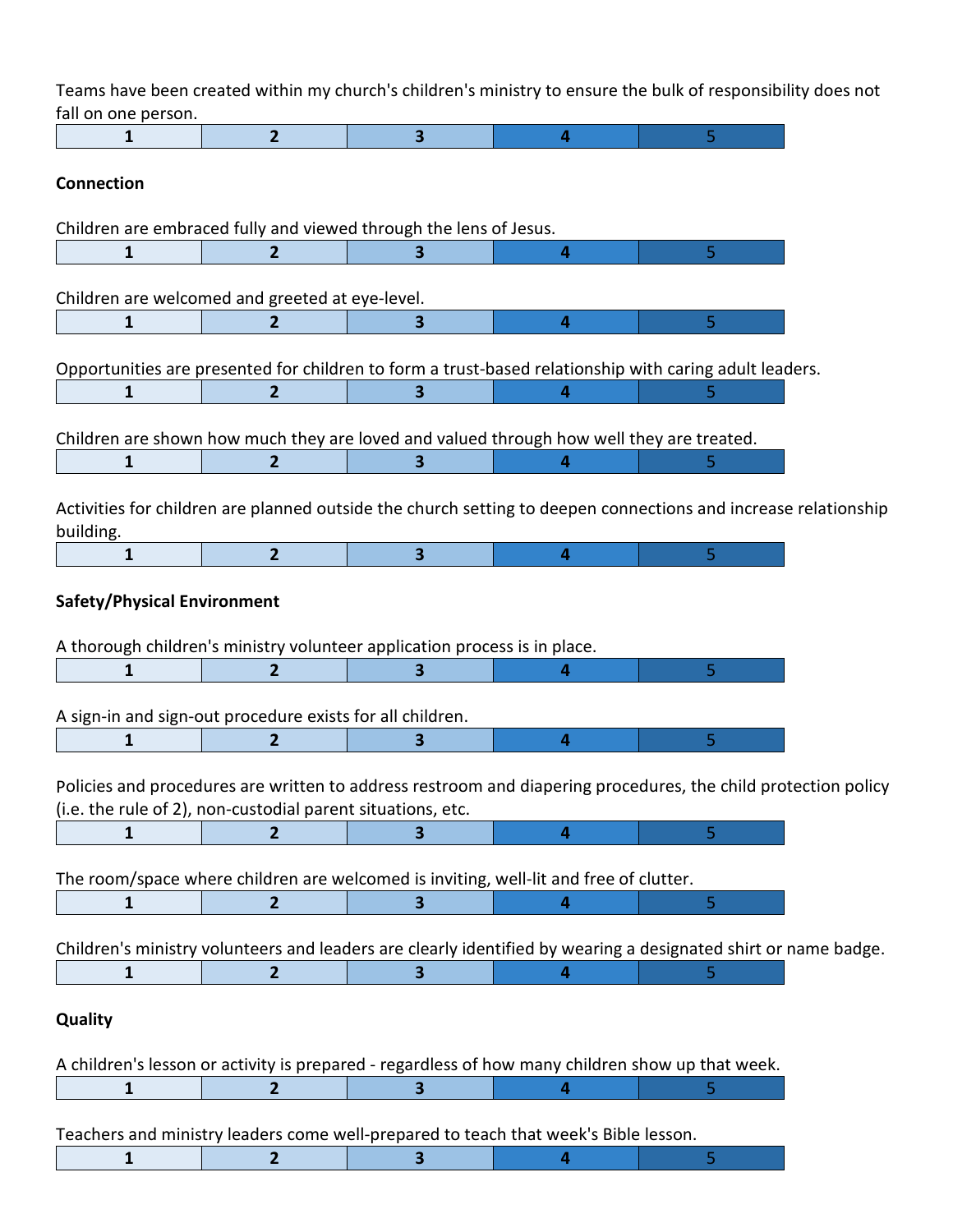Teams have been created within my church's children's ministry to ensure the bulk of responsibility does not fall on one person.

| ian on one person.                                                                                                                                                           |                |                         |   |    |
|------------------------------------------------------------------------------------------------------------------------------------------------------------------------------|----------------|-------------------------|---|----|
| 1                                                                                                                                                                            | $\overline{2}$ | 3                       | 4 | 5  |
| <b>Connection</b>                                                                                                                                                            |                |                         |   |    |
| Children are embraced fully and viewed through the lens of Jesus.                                                                                                            |                |                         |   |    |
| 1                                                                                                                                                                            | $\mathbf{2}$   |                         | 4 | 5  |
|                                                                                                                                                                              |                |                         |   |    |
| Children are welcomed and greeted at eye-level.                                                                                                                              |                |                         |   |    |
| $\mathbf{1}$                                                                                                                                                                 | $\mathbf{2}$   | $\overline{\mathbf{3}}$ | 4 | 5  |
| Opportunities are presented for children to form a trust-based relationship with caring adult leaders.                                                                       |                |                         |   |    |
| 1                                                                                                                                                                            | $\overline{2}$ | $\overline{\mathbf{3}}$ | 4 |    |
| Children are shown how much they are loved and valued through how well they are treated.<br>1                                                                                | $\mathbf{2}$   |                         | 4 |    |
| Activities for children are planned outside the church setting to deepen connections and increase relationship<br>building.                                                  |                |                         |   |    |
| 1                                                                                                                                                                            | $\overline{2}$ | $\overline{\mathbf{3}}$ | 4 | 5  |
| A thorough children's ministry volunteer application process is in place.<br>1                                                                                               | 2              | з                       | 4 | 5  |
| A sign-in and sign-out procedure exists for all children.                                                                                                                    |                |                         |   |    |
| 1                                                                                                                                                                            | 2              | 3                       | 4 | 5  |
| Policies and procedures are written to address restroom and diapering procedures, the child protection policy<br>(i.e. the rule of 2), non-custodial parent situations, etc. |                |                         |   |    |
| 1                                                                                                                                                                            | $\overline{2}$ | 3                       | 4 | 5  |
| The room/space where children are welcomed is inviting, well-lit and free of clutter.                                                                                        |                |                         |   |    |
| 1                                                                                                                                                                            | $\mathbf{2}$   | 3                       | 4 | 5  |
| Children's ministry volunteers and leaders are clearly identified by wearing a designated shirt or name badge.                                                               |                |                         |   |    |
| $\mathbf{1}$                                                                                                                                                                 | $\overline{2}$ | 3                       | 4 | 5. |
| Quality                                                                                                                                                                      |                |                         |   |    |
| A children's lesson or activity is prepared - regardless of how many children show up that week.                                                                             |                |                         |   |    |
| 1                                                                                                                                                                            |                | з                       |   |    |
| Teachers and ministry leaders come well-prepared to teach that week's Bible lesson.                                                                                          |                |                         |   |    |